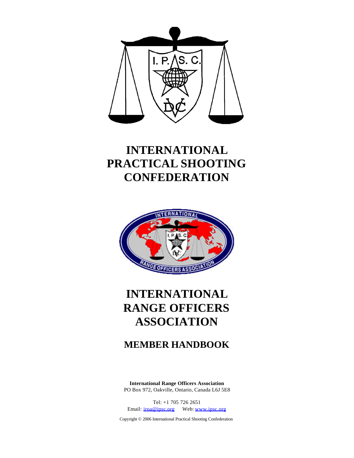

# **INTERNATIONAL PRACTICAL SHOOTING CONFEDERATION**



# **INTERNATIONAL RANGE OFFICERS ASSOCIATION**

## **MEMBER HANDBOOK**

**International Range Officers Association** PO Box 972, Oakville, Ontario, Canada L6J 5E8

Tel: +1 705 726 2651 Email: iroa@ipsc.org Web: www.ipsc.org

Copyright © 2006 International Practical Shooting Confederation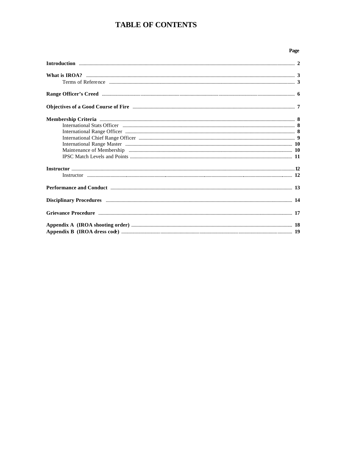## **TABLE OF CONTENTS**

### Page

| Terms of Reference <i>manual communication communication</i> and the state of the state of Reference <b>3</b>                                                                                                                      |  |
|------------------------------------------------------------------------------------------------------------------------------------------------------------------------------------------------------------------------------------|--|
|                                                                                                                                                                                                                                    |  |
|                                                                                                                                                                                                                                    |  |
|                                                                                                                                                                                                                                    |  |
|                                                                                                                                                                                                                                    |  |
|                                                                                                                                                                                                                                    |  |
|                                                                                                                                                                                                                                    |  |
|                                                                                                                                                                                                                                    |  |
|                                                                                                                                                                                                                                    |  |
|                                                                                                                                                                                                                                    |  |
|                                                                                                                                                                                                                                    |  |
|                                                                                                                                                                                                                                    |  |
| Performance and Conduct manufactured and Conduct and Conduct manufactured and Conduct manufactured and Conduct                                                                                                                     |  |
| Disciplinary Procedures <b>Execution</b> 214 and 22 and 22 and 22 and 22 and 23 and 24 and 25 and 25 and 26 and 26 and 26 and 26 and 26 and 26 and 26 and 26 and 26 and 26 and 26 and 26 and 26 and 26 and 26 and 26 and 26 and 26 |  |
| Grievance Procedure <b>Executive Communication</b> 17                                                                                                                                                                              |  |
|                                                                                                                                                                                                                                    |  |
|                                                                                                                                                                                                                                    |  |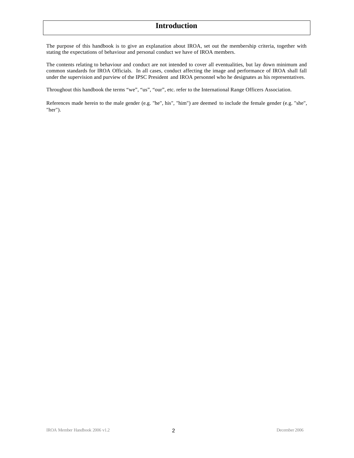### **Introduction**

The purpose of this handbook is to give an explanation about IROA, set out the membership criteria, together with stating the expectations of behaviour and personal conduct we have of IROA members.

The contents relating to behaviour and conduct are not intended to cover all eventualities, but lay down minimum and common standards for IROA Officials. In all cases, conduct affecting the image and performance of IROA shall fall under the supervision and purview of the IPSC President and IROA personnel who he designates as his representatives.

Throughout this handbook the terms "we", "us", "our", etc. refer to the International Range Officers Association.

References made herein to the male gender (e.g. "he", his", "him") are deemed to include the female gender (e.g. "she", "her").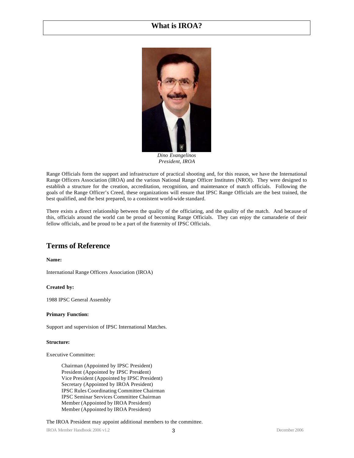### **What is IROA?**



*Dino Evangelinos President, IROA*

Range Officials form the support and infrastructure of practical shooting and, for this reason, we have the International Range Officers Association (IROA) and the various National Range Officer Institutes (NROI). They were designed to establish a structure for the creation, accreditation, recognition, and maintenance of match officials. Following the goals of the Range Officer's Creed, these organizations will ensure that IPSC Range Officials are the best trained, the best qualified, and the best prepared, to a consistent world-wide standard.

There exists a direct relationship between the quality of the officiating, and the quality of the match. And because of this, officials around the world can be proud of becoming Range Officials. They can enjoy the camaraderie of their fellow officials, and be proud to be a part of the fraternity of IPSC Officials.

### **Terms of Reference**

**Name:**

International Range Officers Association (IROA)

### **Created by:**

1988 IPSC General Assembly

### **Primary Function:**

Support and supervision of IPSC International Matches.

### **Structure:**

Executive Committee:

Chairman (Appointed by IPSC President) President (Appointed by IPSC President) Vice President (Appointed by IPSC President) Secretary (Appointed by IROA President) IPSC Rules Coordinating Committee Chairman IPSC Seminar Services Committee Chairman Member (Appointed by IROA President) Member (Appointed by IROA President)

The IROA President may appoint additional members to the committee.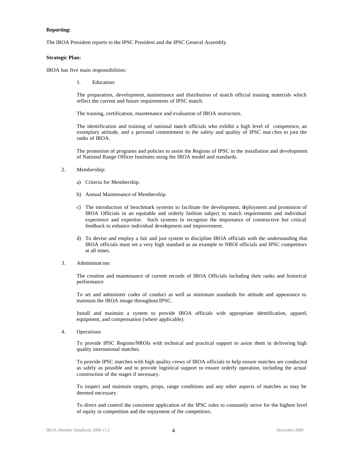### **Reporting:**

The IROA President reports to the IPSC President and the IPSC General Assembly.

#### **Strategic Plan:**

IROA has five main responsibilities:

1. Education:

The preparation, development, maintenance and distribution of match official training materials which reflect the current and future requirements of IPSC match.

The training, certification, maintenance and evaluation of IROA instructors.

The identification and training of national match officials who exhibit a high level of competence, an exemplary attitude, and a personal commitment to the safety and quality of IPSC mat ches to join the ranks of IROA.

The promotion of programs and policies to assist the Regions of IPSC in the installation and development of National Range Officer Institutes using the IROA model and standards.

- 2. Membership:
	- a) Criteria for Membership.
	- b) Annual Maintenance of Membership.
	- c) The introduction of benchmark systems to facilitate the development, deployment and promotion of IROA Officials in an equitable and orderly fashion subject to match requirements and individual experience and expertise. Such systems to recognize the importance of constructive but critical feedback to enhance individual development and improvement.
	- d) To devise and employ a fair and just system to discipline IROA officials with the understanding that IROA officials must set a very high standard as an example to NROI officials and IPSC competitors at all times.
- 3. Administrat ion:

The creation and maintenance of current records of IROA Officials including their ranks and historical performance

To set and administer codes of conduct as well as minimum standards for attitude and appearance to maintain the IROA image throughout IPSC.

Install and maintain a system to provide IROA officials with appropriate identification, apparel, equipment, and compensation (where applicable).

4. Operations

To provide IPSC Regions/NROIs with technical and practical support to assist them in delivering high quality international matches.

To provide IPSC matches with high quality crews of IROA officials to help ensure matches are conducted as safely as possible and to provide logistical support to ensure orderly operation, including the actual construction of the stages if necessary.

To inspect and maintain targets, props, range conditions and any other aspects of matches as may be deemed necessary.

To direct and control the consistent application of the IPSC rules to constantly strive for the highest level of equity in competition and the enjoyment of the competitors.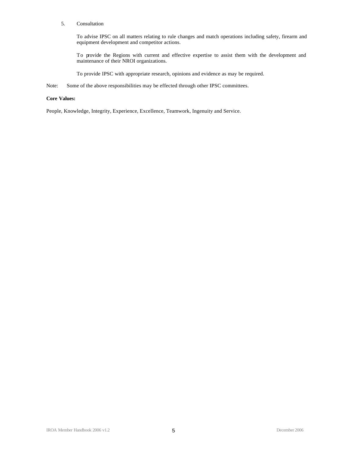### 5. Consultation

To advise IPSC on all matters relating to rule changes and match operations including safety, firearm and equipment development and competitor actions.

To provide the Regions with current and effective expertise to assist them with the development and maintenance of their NROI organizations.

To provide IPSC with appropriate research, opinions and evidence as may be required.

Note: Some of the above responsibilities may be effected through other IPSC committees.

### **Core Values:**

People, Knowledge, Integrity, Experience, Excellence, Teamwork, Ingenuity and Service.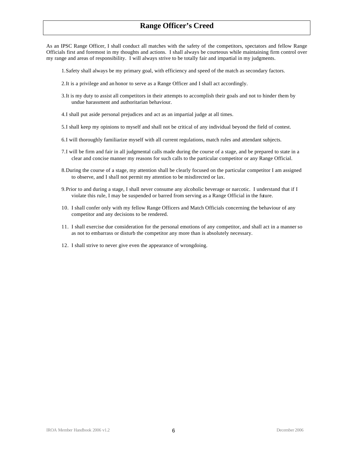### **Range Officer's Creed**

As an IPSC Range Officer, I shall conduct all matches with the safety of the competitors, spectators and fellow Range Officials first and foremost in my thoughts and actions. I shall always be courteous while maintaining firm control over my range and areas of responsibility. I will always strive to be totally fair and impartial in my judgments.

- 1.Safety shall always be my primary goal, with efficiency and speed of the match as secondary factors.
- 2.It is a privilege and an honor to serve as a Range Officer and I shall act accordingly.
- 3.It is my duty to assist all competitors in their attempts to accomplish their goals and not to hinder them by undue harassment and authoritarian behaviour.
- 4.I shall put aside personal prejudices and act as an impartial judge at all times.
- 5.I shall keep my opinions to myself and shall not be critical of any individual beyond the field of contest.
- 6.I will thoroughly familiarize myself with all current regulations, match rules and attendant subjects.
- 7.I will be firm and fair in all judgmental calls made during the course of a stage, and be prepared to state in a clear and concise manner my reasons for such calls to the particular competitor or any Range Official.
- 8.During the course of a stage, my attention shall be clearly focused on the particular competitor I am assigned to observe, and I shall not permit my attention to be misdirected or lax.
- 9.Prior to and during a stage, I shall never consume any alcoholic beverage or narcotic. I understand that if I violate this rule, I may be suspended or barred from serving as a Range Official in the future.
- 10. I shall confer only with my fellow Range Officers and Match Officials concerning the behaviour of any competitor and any decisions to be rendered.
- 11. I shall exercise due consideration for the personal emotions of any competitor, and shall act in a manner so as not to embarrass or disturb the competitor any more than is absolutely necessary.
- 12. I shall strive to never give even the appearance of wrongdoing.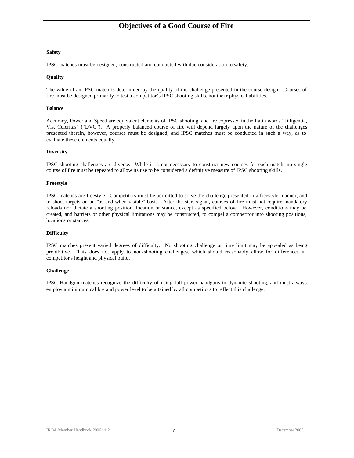### **Objectives of a Good Course of Fire**

### **Safety**

IPSC matches must be designed, constructed and conducted with due consideration to safety.

### **Quality**

The value of an IPSC match is determined by the quality of the challenge presented in the course design. Courses of fire must be designed primarily to test a competitor's IPSC shooting skills, not thei r physical abilities.

### **Balance**

Accuracy, Power and Speed are equivalent elements of IPSC shooting, and are expressed in the Latin words "Diligentia, Vis, Celeritas" ("DVC"). A properly balanced course of fire will depend largely upon the nature of the challenges presented therein, however, courses must be designed, and IPSC matches must be conducted in such a way, as to evaluate these elements equally.

### **Diversity**

IPSC shooting challenges are diverse. While it is not necessary to construct new courses for each match, no single course of fire must be repeated to allow its use to be considered a definitive measure of IPSC shooting skills.

#### **Freestyle**

IPSC matches are freestyle. Competitors must be permitted to solve the challenge presented in a freestyle manner, and to shoot targets on an "as and when visible" basis. After the start signal, courses of fire must not require mandatory reloads nor dictate a shooting position, location or stance, except as specified below. However, conditions may be created, and barriers or other physical limitations may be constructed, to compel a competitor into shooting positions, locations or stances.

### **Difficulty**

IPSC matches present varied degrees of difficulty. No shooting challenge or time limit may be appealed as being prohibitive. This does not apply to non-shooting challenges, which should reasonably allow for differences in competitor's height and physical build.

#### **Challenge**

IPSC Handgun matches recognize the difficulty of using full power handguns in dynamic shooting, and must always employ a minimum calibre and power level to be attained by all competitors to reflect this challenge.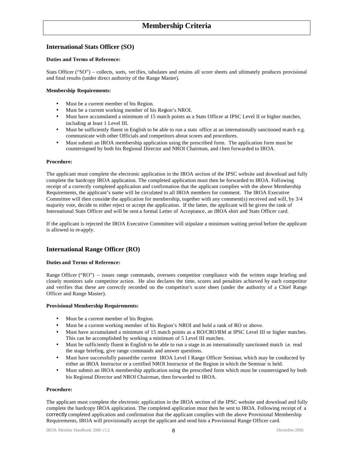### **International Stats Officer (SO)**

### **Duties and Terms of Reference:**

Stats Officer ("SO") – collects, sorts, verifies, tabulates and retains all score sheets and ultimately produces provisional and final results (under direct authority of the Range Master).

### **Membership Requirements:**

- Must be a current member of his Region.
- Must be a current working member of his Region's NROI.
- Must have accumulated a minimum of 15 match points as a Stats Officer at IPSC Level II or higher matches, including at least 1 Level III.
- Must be sufficiently fluent in English to be able to run a stats office at an internationally sanctioned match e.g. communicate with other Officials and competitors about scores and procedures.
- Must submit an IROA membership application using the prescribed form. The application form must be countersigned by both his Regional Director and NROI Chairman, and t hen forwarded to IROA.

### **Procedure:**

The applicant must complete the electronic application in the IROA section of the IPSC website and download and fully complete the hardcopy IROA application. The completed application must then be forwarded to IROA. Following receipt of a correctly completed application and confirmation that the applicant complies with the above Membership Requirements, the applicant's name will be circulated to all IROA members for comment. The IROA Executive Committee will then consider the application for membership, together with any comment(s) received and will, by 3/4 majority vote, decide to either reject or accept the application. If the latter, the applicant will be given the rank of International Stats Officer and will be sent a formal Letter of Acceptance, an IROA shirt and Stats Officer card.

If the applicant is rejected the IROA Executive Committee will stipulate a minimum waiting period before the applicant is allowed to re-apply.

### **International Range Officer (RO)**

### **Duties and Terms of Reference:**

Range Officer ("RO") – issues range commands, oversees competitor compliance with the written stage briefing and closely monitors safe competitor action. He also declares the time, scores and penalties achieved by each competitor and verifies that these are correctly recorded on the competitor's score sheet (under the authority of a Chief Range Officer and Range Master).

### **Provisional Membership Requirements:**

- Must be a current member of his Region.
- Must be a current working member of his Region's NROI and hold a rank of RO or above.
- Must have accumulated a minimum of 15 match points as a RO/CRO/RM at IPSC Level III or higher matches. This can be accomplished by working a minimum of 5 Level III matches.
- Must be sufficiently fluent in English to be able to run a stage in an internationally sanctioned match i.e. read the stage briefing, give range commands and answer questions.
- Must have successfully passed the current IROA Level I Range Officer Seminar, which may be conducted by either an IROA Instructor or a certified NROI Instructor of the Region in which the Seminar is held.
- Must submit an IROA membership application using the prescribed form which must be countersigned by both his Regional Director and NROI Chairman, then forwarded to IROA.

### **Procedure:**

The applicant must complete the electronic application in the IROA section of the IPSC website and download and fully complete the hardcopy IROA application. The completed application must then be sent to IROA. Following receipt of a correctly completed application and confirmation that the applicant complies with the above Provisional Membership Requirements, IROA will provisionally accept the applicant and send him a Provisional Range Officer card.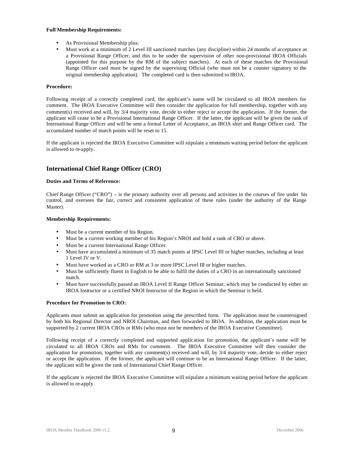### **Full Membership Requirements:**

- As Provisional Membership plus:
- Must work at a minimum of 2 Level III sanctioned matches (any discipline) within 24 months of acceptance as a Provisional Range Officer, and this to be under the supervision of other non-provisional IROA Officials (appointed for this purpose by the RM of the subject matches). At each of these matches the Provisional Range Officer card must be signed by the supervising Official (who must not be a counter signatory to the original membership application). The completed card is then submitted to IROA.

### **Procedure:**

Following receipt of a correctly completed card, the applicant's name will be circulated to all IROA members for comment. The IROA Executive Committee will then consider the application for full membership, together with any comment(s) received and will, by 3/4 majority vote, decide to either reject or accept the application. If the former, the applicant will cease to be a Provisional International Range Officer. If the latter, the applicant will be given the rank of International Range Officer and will be sent a formal Letter of Acceptance, an IROA shirt and Range Officer card. The accumulated number of match points will be reset to 15.

If the applicant is rejected the IROA Executive Committee will stipulate a minimum waiting period before the applicant is allowed to re-apply.

### **International Chief Range Officer (CRO)**

### **Duties and Terms of Reference:**

Chief Range Officer ("CRO") – is the primary authority over all persons and activities in the courses of fire under his control, and oversees the fair, correct and consistent application of these rules (under the authority of the Range Master).

### **Membership Requirements:**

- Must be a current member of his Region.
- Must be a current working member of his Region's NROI and hold a rank of CRO or above.
- Must be a current International Range Officer.
- Must have accumulated a minimum of 35 match points at IPSC Level III or higher matches, including at least 1 Level IV or V.
- Must have worked as a CRO or RM at 3 or more IPSC Level III or higher matches.
- Must be sufficiently fluent in English to be able to fulfil the duties of a CRO in an internationally sanctioned match.
- Must have successfully passed an IROA Level II Range Officer Seminar, which may be conducted by either an IROA Instructor or a certified NROI Instructor of the Region in which the Seminar is held.

### **Procedure for Promotion to CRO:**

Applicants must submit an application for promotion using the prescribed form. The application must be countersigned by both his Regional Director and NROI Chairman, and then forwarded to IROA. In addition, the application must be supported by 2 current IROA CROs or RMs (who must not be members of the IROA Executive Committee).

Following receipt of a correctly completed and supported application for promotion, the applicant's name will be circulated to all IROA CROs and RMs for comment. The IROA Executive Committee will then consider the application for promotion, together with any comment(s) received and will, by 3/4 majority vote, decide to either reject or accept the application. If the former, the applicant will continue to be an International Range Officer. If the latter, the applicant will be given the rank of International Chief Range Officer.

If the applicant is rejected the IROA Executive Committee will stipulate a minimum waiting period before the applicant is allowed to re-apply.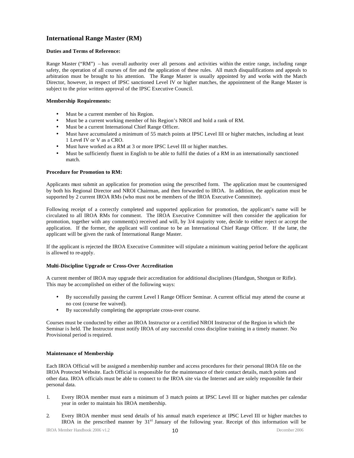### **International Range Master (RM)**

### **Duties and Terms of Reference:**

Range Master ("RM") – has overall authority over all persons and activities within the entire range, including range safety, the operation of all courses of fire and the application of these rules. All match disqualifications and appeals to arbitration must be brought to his attention. The Range Master is usually appointed by and works with the Match Director, however, in respect of IPSC sanctioned Level IV or higher matches, the appointment of the Range Master is subject to the prior written approval of the IPSC Executive Council.

### **Membership Requirements:**

- Must be a current member of his Region.
- Must be a current working member of his Region's NROI and hold a rank of RM.
- Must be a current International Chief Range Officer.
- Must have accumulated a minimum of 55 match points at IPSC Level III or higher matches, including at least 1 Level IV or V as a CRO.
- Must have worked as a RM at 3 or more IPSC Level III or higher matches.
- Must be sufficiently fluent in English to be able to fulfil the duties of a RM in an internationally sanctioned match.

### **Procedure for Promotion to RM:**

Applicants must submit an application for promotion using the prescribed form. The application must be countersigned by both his Regional Director and NROI Chairman, and then forwarded to IROA. In addition, the application must be supported by 2 current IROA RMs (who must not be members of the IROA Executive Committee).

Following receipt of a correctly completed and supported application for promotion, the applicant's name will be circulated to all IROA RMs for comment. The IROA Executive Committee will then consider the application for promotion, together with any comment(s) received and will, by 3/4 majority vote, decide to either reject or accept the application. If the former, the applicant will continue to be an International Chief Range Officer. If the latter, the applicant will be given the rank of International Range Master.

If the applicant is rejected the IROA Executive Committee will stipulate a minimum waiting period before the applicant is allowed to re-apply.

### **Multi-Discipline Upgrade or Cross-Over Accreditation**

A current member of IROA may upgrade their accreditation for additional disciplines (Handgun, Shotgun or Rifle). This may be accomplished on either of the following ways:

- By successfully passing the current Level I Range Officer Seminar. A current official may attend the course at no cost (course fee waived).
- By successfully completing the appropriate cross-over course.

Courses must be conducted by either an IROA Instructor or a certified NROI Instructor of the Region in which the Seminar is held. The Instructor must notify IROA of any successful cross discipline training in a timely manner. No Provisional period is required.

### **Maintenance of Membership**

Each IROA Official will be assigned a membership number and access procedures for their personal IROA file on the IROA Protected Website. Each Official is responsible for the maintenance of their contact details, match points and other data. IROA officials must be able to connect to the IROA site via the Internet and are solely responsible for their personal data.

- 1. Every IROA member must earn a minimum of 3 match points at IPSC Level III or higher matches per calendar year in order to maintain his IROA membership.
- 2. Every IROA member must send details of his annual match experience at IPSC Level III or higher matches to IROA in the prescribed manner by 31st January of the following year. Receipt of this information will be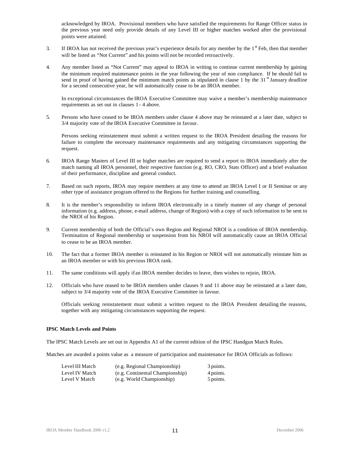acknowledged by IROA. Provisional members who have satisfied the requirements for Range Officer status in the previous year need only provide details of any Level III or higher matches worked after the provisional points were attained.

- 3. If IROA has not received the previous year's experience details for any member by the  $1<sup>st</sup>$  Feb, then that member will be listed as "Not Current" and his points will not be recorded retroactively.
- 4. Any member listed as "Not Current" may appeal to IROA in writing to continue current membership by gaining the minimum required maintenance points in the year following the year of non compliance. If he should fail to send in proof of having gained the minimum match points as stipulated in clause 1 by the  $31<sup>st</sup>$  January deadline for a second consecutive year, he will automatically cease to be an IROA member.

In exceptional circumstances the IROA Executive Committee may waive a member's membership maintenance requirements as set out in clauses 1 - 4 above.

5. Persons who have ceased to be IROA members under clause 4 above may be reinstated at a later date, subject to 3/4 majority vote of the IROA Executive Committee in favour.

Persons seeking reinstatement must submit a written request to the IROA President detailing the reasons for failure to complete the necessary maintenance requirements and any mitigating circumstances supporting the request.

- 6. IROA Range Masters of Level III or higher matches are required to send a report to IROA immediately after the match naming all IROA personnel, their respective function (e.g. RO, CRO, Stats Officer) and a brief evaluation of their performance, discipline and general conduct.
- 7. Based on such reports, IROA may require members at any time to attend an IROA Level I or II Seminar or any other type of assistance program offered to the Regions for further training and counselling.
- 8. It is the member's responsibility to inform IROA electronically in a timely manner of any change of personal information (e.g. address, phone, e-mail address, change of Region) with a copy of such information to be sent to the NROI of his Region.
- 9. Current membership of both the Official's own Region and Regional NROI is a condition of IROA membership. Termination of Regional membership or suspension from his NROI will automatically cause an IROA Official to cease to be an IROA member.
- 10. The fact that a former IROA member is reinstated in his Region or NROI will not automatically reinstate him as an IROA member or with his previous IROA rank.
- 11. The same conditions will apply if an IROA member decides to leave, then wishes to rejoin, IROA.
- 12. Officials who have ceased to be IROA members under clauses 9 and 11 above may be reinstated at a later date, subject to 3/4 majority vote of the IROA Executive Committee in favour.

Officials seeking reinstatement must submit a written request to the IROA President detailing the reasons, together with any mitigating circumstances supporting the request.

### **IPSC Match Levels and Points**

The IPSC Match Levels are set out in Appendix A1 of the current edition of the IPSC Handgun Match Rules.

Matches are awarded a points value as a measure of participation and maintenance for IROA Officials as follows:

| Level III Match | (e.g. Regional Championship)    | 3 points. |
|-----------------|---------------------------------|-----------|
| Level IV Match  | (e.g. Continental Championship) | 4 points. |
| Level V Match   | (e.g. World Championship)       | 5 points. |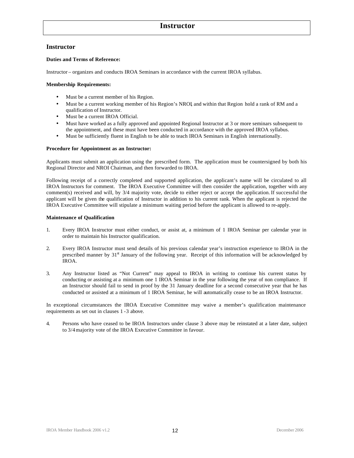### **Instructor**

### **Instructor**

### **Duties and Terms of Reference:**

Instructor – organizes and conducts IROA Seminars in accordance with the current IROA syllabus.

### **Membership Requirements:**

- Must be a current member of his Region.
- Must be a current working member of his Region's NROI, and within that Region hold a rank of RM and a qualification of Instructor.
- Must be a current IROA Official.
- Must have worked as a fully approved and appointed Regional Instructor at 3 or more seminars subsequent to the appointment, and these must have been conducted in accordance with the approved IROA syllabus.
- Must be sufficiently fluent in English to be able to teach IROA Seminars in English internationally.

### **Procedure for Appointment as an Instructor:**

Applicants must submit an application using the prescribed form. The application must be countersigned by both his Regional Director and NROI Chairman, and then forwarded to IROA.

Following receipt of a correctly completed and supported application, the applicant's name will be circulated to all IROA Instructors for comment. The IROA Executive Committee will then consider the application, together with any comment(s) received and will, by 3/4 majority vote, decide to either reject or accept the application. If successful the applicant will be given the qualification of Instructor in addition to his current rank. When the applicant is rejected the IROA Executive Committee will stipulate a minimum waiting period before the applicant is allowed to re-apply.

### **Maintenance of Qualification**

- 1. Every IROA Instructor must either conduct, or assist at, a minimum of 1 IROA Seminar per calendar year in order to maintain his Instructor qualification.
- 2. Every IROA Instructor must send details of his previous calendar year's instruction experience to IROA in the prescribed manner by 31<sup>st</sup> January of the following year. Receipt of this information will be acknowledged by IROA.
- 3. Any Instructor listed as "Not Current" may appeal to IROA in writing to continue his current status by conducting or assisting at a minimum one 1 IROA Seminar in the year following the year of non compliance. If an Instructor should fail to send in proof by the 31 January deadline for a second consecutive year that he has conducted or assisted at a minimum of 1 IROA Seminar, he will automatically cease to be an IROA Instructor.

In exceptional circumstances the IROA Executive Committee may waive a member's qualification maintenance requirements as set out in clauses 1 -3 above.

4. Persons who have ceased to be IROA Instructors under clause 3 above may be reinstated at a later date, subject to 3/4 majority vote of the IROA Executive Committee in favour.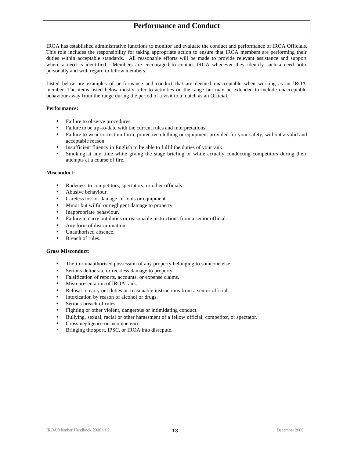### **Performance and Conduct**

IROA has established administrative functions to monitor and evaluate the conduct and performance of IROA Officials. This role includes the responsibility for taking appropriate action to ensure that IROA members are performing their duties within acceptable standards. All reasonable efforts will be made to provide relevant assistance and support where a need is identified. Members are encouraged to contact IROA whenever they identify such a need both personally and with regard to fellow members.

Listed below are examples of performance and conduct that are deemed unacceptable when working as an IROA member. The items listed below mostly refer to activities on the range but may be extended to include unacceptable behaviour away from the range during the period of a visit to a match as an Official.

### **Performance:**

- Failure to observe procedures.
- Failure to be up -to-date with the current rules and interpretations.
- Failure to wear correct uniform, protective clothing or equipment provided for your safety, without a valid and acceptable reason.
- Insufficient fluency in English to be able to fulfil the duties of your rank.
- Smoking at any time while giving the stage briefing or while actually conducting competitors during their attempts at a course of fire.

### **Misconduct:**

- Rudeness to competitors, spectators, or other officials.
- Abusive behaviour.
- Careless loss or damage of tools or equipment.
- Minor but wilful or negligent damage to property.
- Inappropriate behaviour.
- Failure to carry out duties or reasonable instructions from a senior official.
- Any form of discrimination.
- Unauthorised absence.
- Breach of rules.

### **Gross Misconduct:**

- Theft or unauthorised possession of any property belonging to someone else.
- Serious deliberate or reckless damage to property.
- Falsification of reports, accounts, or expense claims.
- Misrepresentation of IROA rank.
- Refusal to carry out duties or reasonable instructions from a senior official.
- Intoxication by reason of alcohol or drugs.
- Serious breach of rules.
- Fighting or other violent, dangerous or intimidating conduct.
- Bullying, sexual, racial or other harassment of a fellow official, competitor, or spectator.
- Gross negligence or incompetence.
- Bringing the sport, IPSC, or IROA into disrepute.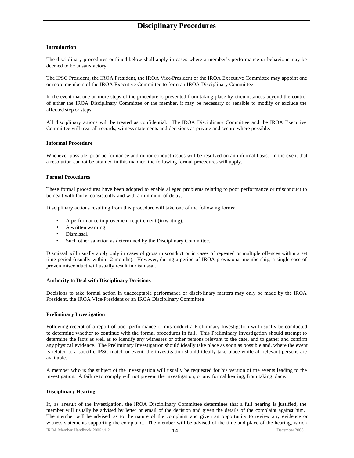### **Disciplinary Procedures**

### **Introduction**

The disciplinary procedures outlined below shall apply in cases where a member's performance or behaviour may be deemed to be unsatisfactory.

The IPSC President, the IROA President, the IROA Vice-President or the IROA Executive Committee may appoint one or more members of the IROA Executive Committee to form an IROA Disciplinary Committee.

In the event that one or more steps of the procedure is prevented from taking place by circumstances beyond the control of either the IROA Disciplinary Committee or the member, it may be necessary or sensible to modify or exclude the affected step or steps.

All disciplinary actions will be treated as confidential. The IROA Disciplinary Committee and the IROA Executive Committee will treat all records, witness statements and decisions as private and secure where possible.

#### **Informal Procedure**

Whenever possible, poor performan ce and minor conduct issues will be resolved on an informal basis. In the event that a resolution cannot be attained in this manner, the following formal procedures will apply.

#### **Formal Procedures**

These formal procedures have been adopted to enable alleged problems relating to poor performance or misconduct to be dealt with fairly, consistently and with a minimum of delay.

Disciplinary actions resulting from this procedure will take one of the following forms:

- A performance improvement requirement (in writing).
- A written warning.
- Dismissal.
- Such other sanction as determined by the Disciplinary Committee.

Dismissal will usually apply only in cases of gross misconduct or in cases of repeated or multiple offences within a set time period (usually within 12 months). However, during a period of IROA provisional membership, a single case of proven misconduct will usually result in dismissal.

#### **Authority to Deal with Disciplinary Decisions**

Decisions to take formal action in unacceptable performance or discip linary matters may only be made by the IROA President, the IROA Vice-President or an IROA Disciplinary Committee

### **Preliminary Investigation**

Following receipt of a report of poor performance or misconduct a Preliminary Investigation will usually be conducted to determine whether to continue with the formal procedures in full. This Preliminary Investigation should attempt to determine the facts as well as to identify any witnesses or other persons relevant to the case, and to gather and confirm any physical evidence. The Preliminary Investigation should ideally take place as soon as possible and, where the event is related to a specific IPSC match or event, the investigation should ideally take place while all relevant persons are available.

A member who is the subject of the investigation will usually be requested for his version of the events leading to the investigation. A failure to comply will not prevent the investigation, or any formal hearing, from taking place.

#### **Disciplinary Hearing**

IROA Member Handbook 2006 v1.2 **14 14** December 2006 If, as a result of the investigation, the IROA Disciplinary Committee determines that a full hearing is justified, the member will usually be advised by letter or email of the decision and given the details of the complaint against him. The member will be advised as to the nature of the complaint and given an opportunity to review any evidence or witness statements supporting the complaint. The member will be advised of the time and place of the hearing, which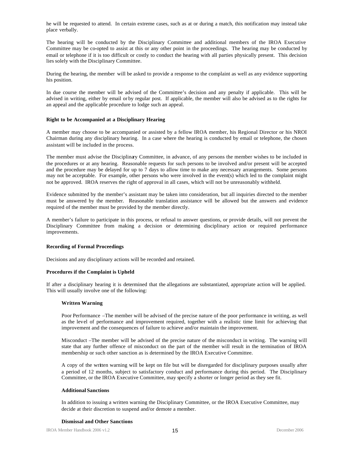he will be requested to attend. In certain extreme cases, such as at or during a match, this notification may instead take place verbally.

The hearing will be conducted by the Disciplinary Committee and additional members of the IROA Executive Committee may be co-opted to assist at this or any other point in the proceedings. The hearing may be conducted by email or telephone if it is too difficult or costly to conduct the hearing with all parties physically present. This decision lies solely with the Disciplinary Committee.

During the hearing, the member will be asked to provide a response to the complaint as well as any evidence supporting his position.

In due course the member will be advised of the Committee's decision and any penalty if applicable. This will be advised in writing, either by email or by regular post. If applicable, the member will also be advised as to the rights for an appeal and the applicable procedure to lodge such an appeal.

### **Right to be Accompanied at a Disciplinary Hearing**

A member may choose to be accompanied or assisted by a fellow IROA member, his Regional Director or his NROI Chairman during any disciplinary hearing. In a case where the hearing is conducted by email or telephone, the chosen assistant will be included in the process.

The member must advise the Disciplinary Committee, in advance, of any persons the member wishes to be included in the procedures or at any hearing. Reasonable requests for such persons to be involved and/or present will be accepted and the procedure may be delayed for up to 7 days to allow time to make any necessary arrangements. Some persons may not be acceptable. For example, other persons who were involved in the event(s) which led to the complaint might not be approved. IROA reserves the right of approval in all cases, which will not be unreasonably withheld.

Evidence submitted by the member's assistant may be taken into consideration, but all inquiries directed to the member must be answered by the member. Reasonable translation assistance will be allowed but the answers and evidence required of the member must be provided by the member directly.

A member's failure to participate in this process, or refusal to answer questions, or provide details, will not prevent the Disciplinary Committee from making a decision or determining disciplinary action or required performance improvements.

### **Recording of Formal Proceedings**

Decisions and any disciplinary actions will be recorded and retained.

### **Procedures if the Complaint is Upheld**

If after a disciplinary hearing it is determined that the allegations are substantiated, appropriate action will be applied. This will usually involve one of the following:

### **Written Warning**

Poor Performance –The member will be advised of the precise nature of the poor performance in writing, as well as the level of performance and improvement required, together with a realistic time limit for achieving that improvement and the consequences of failure to achieve and/or maintain the improvement.

Misconduct –The member will be advised of the precise nature of the misconduct in writing. The warning will state that any further offence of misconduct on the part of the member will result in the termination of IROA membership or such other sanction as is determined by the IROA Executive Committee.

A copy of the written warning will be kept on file but will be disregarded for disciplinary purposes usually after a period of 12 months, subject to satisfactory conduct and performance during this period. The Disciplinary Committee, or the IROA Executive Committee, may specify a shorter or longer period as they see fit.

### **Additional Sanctions**

In addition to issuing a written warning the Disciplinary Committee, or the IROA Executive Committee, may decide at their discretion to suspend and/or demote a member.

### **Dismissal and Other Sanctions**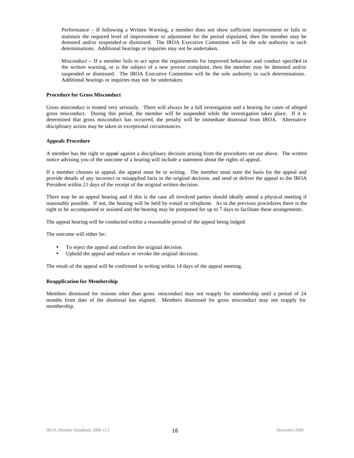Performance – If following a Written Warning, a member does not show sufficient improvement or fails to maintain the required level of improvement or adjustment for the period stipulated, then the member may be demoted and/or suspended or dismissed. The IROA Executive Committee will be the sole authority in such determinations. Additional hearings or inquiries may not be undertaken.

Misconduct – If a member fails to act upon the requirements for improved behaviour and conduct specified in the written warning, or is the subject of a new proven complaint, then the member may be demoted and/or suspended or dismissed. The IROA Executive Committee will be the sole authority in such determinations. Additional hearings or inquiries may not be undertaken.

### **Procedure for Gross Misconduct**

Gross misconduct is treated very seriously. There will always be a full investigation and a hearing for cases of alleged gross misconduct. During this period, the member will be suspended while the investigation takes place. If it is determined that gross misconduct has occurred, the penalty will be immediate dismissal from IROA. Alternative disciplinary action may be taken in exceptional circumstances.

### **Appeals Procedure**

A member has the right to appeal against a disciplinary decision arising from the procedures set out above. The written notice advising you of the outcome of a hearing will include a statement about the rights of appeal.

If a member chooses to appeal, the appeal must be in writing. The member must state the basis for the appeal and provide details of any incorrect or misapplied facts in the original decision, and send or deliver the appeal to the IROA President within 21 days of the receipt of the original written decision.

There may be an appeal hearing and if this is the case all involved parties should ideally attend a physical meeting if reasonably possible. If not, the hearing will be held by e-mail or telephone. As in the previous procedures there is the right to be accompanied or assisted and the hearing may be postponed for up to 7 days to facilitate these arrangements.

The appeal hearing will be conducted within a reasonable period of the appeal being lodged.

The outcome will either be:

- To reject the appeal and confirm the original decision.
- Uphold the appeal and reduce or revoke the original decision.

The result of the appeal will be confirmed in writing within 14 days of the appeal meeting.

### **Reapplication for Membership**

Members dismissed for reasons other than gross misconduct may not reapply for membership until a period of 24 months from date of the dismissal has elapsed. Members dismissed for gross misconduct may not reapply for membership.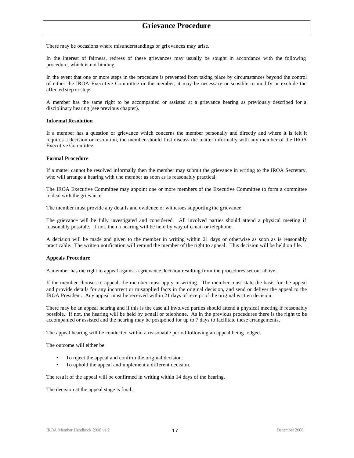### **Grievance Procedure**

There may be occasions where misunderstandings or gri evances may arise.

In the interest of fairness, redress of these grievances may usually be sought in accordance with the following procedure, which is not binding.

In the event that one or more steps in the procedure is prevented from taking place by circumstances beyond the control of either the IROA Executive Committee or the member, it may be necessary or sensible to modify or exclude the affected step or steps.

A member has the same right to be accompanied or assisted at a grievance hearing as previously described for a disciplinary hearing (see previous chapter).

### **Informal Resolution**

If a member has a question or grievance which concerns the member personally and directly and where it is felt it requires a decision or resolution, the member should first discuss the matter informally with any member of the IROA Executive Committee.

### **Formal Procedure**

If a matter cannot be resolved informally then the member may submit the grievance in writing to the IROA Secretary, who will arrange a hearing with t he member as soon as is reasonably practical.

The IROA Executive Committee may appoint one or more members of the Executive Committee to form a committee to deal with the grievance.

The member must provide any details and evidence or witnesses supporting the grievance.

The grievance will be fully investigated and considered. All involved parties should attend a physical meeting if reasonably possible. If not, then a hearing will be held by way of e-mail or telephone.

A decision will be made and given to the member in writing within 21 days or otherwise as soon as is reasonably practicable. The written notification will remind the member of the right to appeal. This decision will be held on file.

#### **Appeals Procedure**

A member has the right to appeal against a grievance decision resulting from the procedures set out above.

If the member chooses to appeal, the member must apply in writing. The member must state the basis for the appeal and provide details for any incorrect or misapplied facts in the original decision, and send or deliver the appeal to the IROA President. Any appeal must be received within 21 days of receipt of the original written decision.

There may be an appeal hearing and if this is the case all involved parties should attend a physical meeting if reasonably possible. If not, the hearing will be held by e-mail or telephone. As in the previous procedures there is the right to be accompanied or assisted and the hearing may be postponed for up to 7 days to facilitate these arrangements.

The appeal hearing will be conducted within a reasonable period following an appeal being lodged.

The outcome will either be:

- To reject the appeal and confirm the original decision.
- To uphold the appeal and implement a different decision.

The resu lt of the appeal will be confirmed in writing within 14 days of the hearing.

The decision at the appeal stage is final.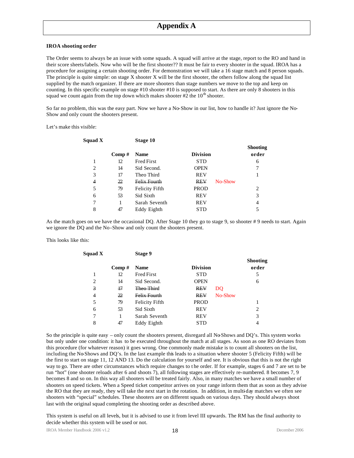### **IROA shooting order**

The Order seems to always be an issue with some squads. A squad will arrive at the stage, report to the RO and hand in their score sheets/labels. Now who will be the first shooter?? It must be fair to every shooter in the squad. IROA has a procedure for assigning a certain shooting order. For demonstration we will take a 16 stage match and 8 person squads. The principle is quite simple: on stage  $X$  shooter  $X$  will be the first shooter, the others follow along the squad list supplied by the match organizer. If there are more shooters than stage numbers we move to the top and keep on counting. In this specific example on stage #10 shooter #10 is supposed to start. As there are only 8 shooters in this squad we count again from the top down which makes shooter  $#2$  the  $10<sup>th</sup>$  shooter.

So far no problem, this was the easy part. Now we have a No-Show in our list, how to handle it? Just ignore the No-Show and only count the shooters present.

Let's make this visible:

| Squad X        |       | Stage 10              |                 |         |                 |
|----------------|-------|-----------------------|-----------------|---------|-----------------|
|                |       |                       |                 |         | <b>Shooting</b> |
|                | Comp# | <b>Name</b>           | <b>Division</b> |         | order           |
|                | 12    | <b>Fred First</b>     | <b>STD</b>      |         | 6               |
| $\overline{2}$ | 14    | Sid Second.           | <b>OPEN</b>     |         | 7               |
| 3              | 17    | Theo Third            | <b>REV</b>      |         |                 |
| 4              | 22    | <b>Felix Fourth</b>   | <b>REV</b>      | No-Show |                 |
| 5              | 79    | <b>Felicity Fifth</b> | <b>PROD</b>     |         | 2               |
| 6              | 53    | Sid Sixth             | <b>REV</b>      |         | 3               |
| 7              |       | Sarah Seventh         | <b>REV</b>      |         | 4               |
| 8              | 47    | Eddy Eighth           | <b>STD</b>      |         |                 |

As the match goes on we have the occasional DQ. After Stage 10 they go to stage 9, so shooter #9 needs to start. Again we ignore the DQ and the No-Show and only count the shooters present.

#### This looks like this:

| Squad X |       | Stage 9               |                 |           |                          |
|---------|-------|-----------------------|-----------------|-----------|--------------------------|
|         | Comp# | <b>Name</b>           | <b>Division</b> |           | <b>Shooting</b><br>order |
|         | 12    | <b>Fred First</b>     | <b>STD</b>      |           | 5                        |
| 2       | 14    | Sid Second.           | <b>OPEN</b>     |           | 6                        |
| 3       | 47    | Theo Third            | <b>REV</b>      | <b>DO</b> |                          |
| 4       | 22    | Felix Fourth          | <b>REV</b>      | No-Show   |                          |
| 5       | 79    | <b>Felicity Fifth</b> | <b>PROD</b>     |           |                          |
| 6       | 53    | Sid Sixth             | <b>REV</b>      |           | $\overline{c}$           |
| 7       | 1     | Sarah Seventh         | <b>REV</b>      |           | 3                        |
| 8       | 47    | Eddy Eighth           | <b>STD</b>      |           | 4                        |
|         |       |                       |                 |           |                          |

So the principle is quite easy – only count the shooters present, disregard all No-Shows and DQ's. This system works but only under one condition: it has to be executed throughout the match at all stages. As soon as one RO deviates from this procedure (for whatever reason) it goes wrong. One commonly made mistake is to count all shooters on the list, including the No-Shows and DQ's. In the last example this leads to a situation where shooter 5 (Felicity Fifth) will be the first to start on stage 11, 12 AND 13. Do the calculation for yourself and see. It is obvious that this is not the right way to go. There are other circumstances which require changes to the order. If for example, stages 6 and 7 are set to be run "hot" (one shooter reloads after 6 and shoots 7), all following stages are effectively re-numbered. 8 becomes 7, 9 becomes 8 and so on. In this way all shooters will be treated fairly. Also, in many matches we have a small number of shooters on speed tickets. When a Speed ticket competitor arrives on your range inform them that as soon as they advise the RO that they are ready, they will take the next start in the rotation. In addition, in multi-day matches we often see shooters with "special" schedules. These shooters are on different squads on various days. They should always shoot last with the original squad completing the shooting order as described above.

This system is useful on all levels, but it is advised to use it from level III upwards. The RM has the final authority to decide whether this system will be used or not.